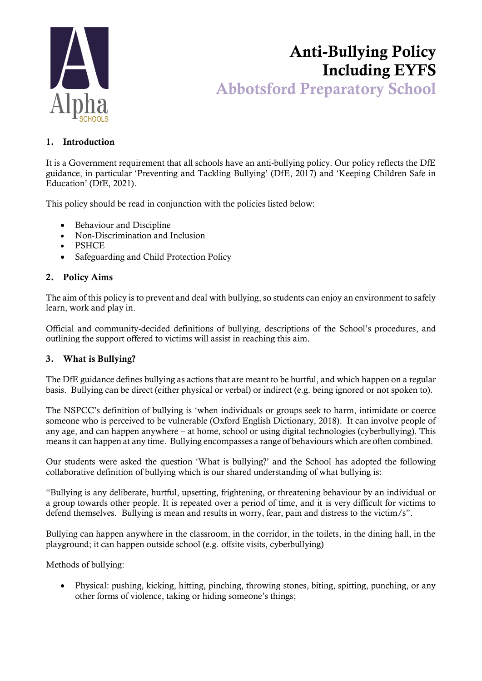

# Anti-Bullying Policy Including EYFS Abbotsford Preparatory School

# 1. Introduction

It is a Government requirement that all schools have an anti-bullying policy. Our policy reflects the DfE guidance, in particular 'Preventing and Tackling Bullying' (DfE, 2017) and 'Keeping Children Safe in Education' (DfE, 2021).

This policy should be read in conjunction with the policies listed below:

- Behaviour and Discipline
- Non-Discrimination and Inclusion
- PSHCE
- Safeguarding and Child Protection Policy

## 2. Policy Aims

The aim of this policy is to prevent and deal with bullying, so students can enjoy an environment to safely learn, work and play in.

Official and community-decided definitions of bullying, descriptions of the School's procedures, and outlining the support offered to victims will assist in reaching this aim.

#### 3. What is Bullying?

The DfE guidance defines bullying as actions that are meant to be hurtful, and which happen on a regular basis. Bullying can be direct (either physical or verbal) or indirect (e.g. being ignored or not spoken to).

The NSPCC's definition of bullying is 'when individuals or groups seek to harm, intimidate or coerce someone who is perceived to be vulnerable (Oxford English Dictionary, 2018). It can involve people of any age, and can happen anywhere – at home, school or using digital technologies (cyberbullying). This means it can happen at any time. Bullying encompasses a range of behaviours which are often combined.

Our students were asked the question 'What is bullying?' and the School has adopted the following collaborative definition of bullying which is our shared understanding of what bullying is:

"Bullying is any deliberate, hurtful, upsetting, frightening, or threatening behaviour by an individual or a group towards other people. It is repeated over a period of time, and it is very difficult for victims to defend themselves. Bullying is mean and results in worry, fear, pain and distress to the victim/s".

Bullying can happen anywhere in the classroom, in the corridor, in the toilets, in the dining hall, in the playground; it can happen outside school (e.g. offsite visits, cyberbullying)

Methods of bullying:

• Physical: pushing, kicking, hitting, pinching, throwing stones, biting, spitting, punching, or any other forms of violence, taking or hiding someone's things;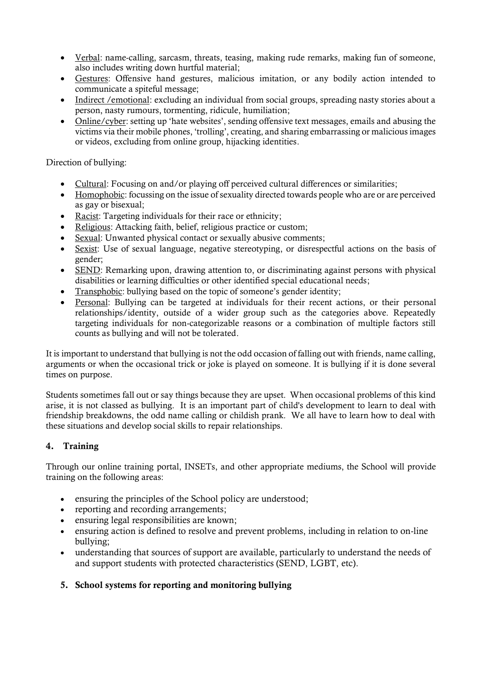- Verbal: name-calling, sarcasm, threats, teasing, making rude remarks, making fun of someone, also includes writing down hurtful material;
- Gestures: Offensive hand gestures, malicious imitation, or any bodily action intended to communicate a spiteful message;
- Indirect / emotional: excluding an individual from social groups, spreading nasty stories about a person, nasty rumours, tormenting, ridicule, humiliation;
- Online/cyber: setting up 'hate websites', sending offensive text messages, emails and abusing the victims via their mobile phones, 'trolling', creating, and sharing embarrassing or malicious images or videos, excluding from online group, hijacking identities.

### Direction of bullying:

- Cultural: Focusing on and/or playing off perceived cultural differences or similarities;
- Homophobic: focussing on the issue of sexuality directed towards people who are or are perceived as gay or bisexual;
- Racist: Targeting individuals for their race or ethnicity;
- Religious: Attacking faith, belief, religious practice or custom;
- Sexual: Unwanted physical contact or sexually abusive comments;
- Sexist: Use of sexual language, negative stereotyping, or disrespectful actions on the basis of gender;
- SEND: Remarking upon, drawing attention to, or discriminating against persons with physical disabilities or learning difficulties or other identified special educational needs;
- Transphobic: bullying based on the topic of someone's gender identity;
- Personal: Bullying can be targeted at individuals for their recent actions, or their personal relationships/identity, outside of a wider group such as the categories above. Repeatedly targeting individuals for non-categorizable reasons or a combination of multiple factors still counts as bullying and will not be tolerated.

It is important to understand that bullying is not the odd occasion of falling out with friends, name calling, arguments or when the occasional trick or joke is played on someone. It is bullying if it is done several times on purpose.

Students sometimes fall out or say things because they are upset. When occasional problems of this kind arise, it is not classed as bullying. It is an important part of child's development to learn to deal with friendship breakdowns, the odd name calling or childish prank. We all have to learn how to deal with these situations and develop social skills to repair relationships.

# 4. Training

Through our online training portal, INSETs, and other appropriate mediums, the School will provide training on the following areas:

- ensuring the principles of the School policy are understood;
- reporting and recording arrangements;
- ensuring legal responsibilities are known;
- ensuring action is defined to resolve and prevent problems, including in relation to on-line bullying;
- understanding that sources of support are available, particularly to understand the needs of and support students with protected characteristics (SEND, LGBT, etc).

# 5. School systems for reporting and monitoring bullying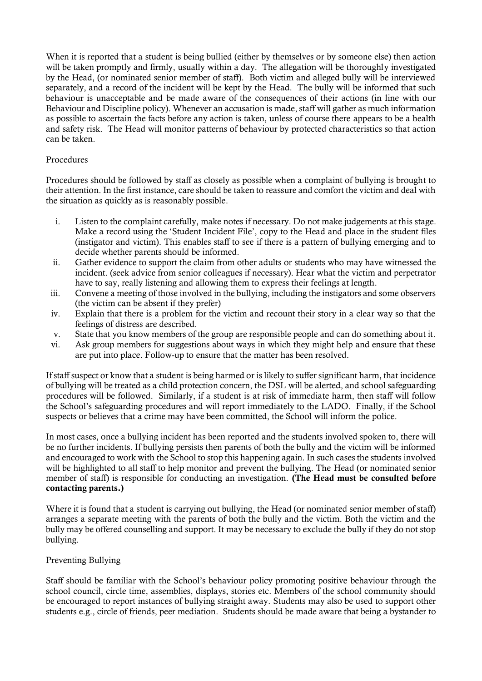When it is reported that a student is being bullied (either by themselves or by someone else) then action will be taken promptly and firmly, usually within a day. The allegation will be thoroughly investigated by the Head, (or nominated senior member of staff). Both victim and alleged bully will be interviewed separately, and a record of the incident will be kept by the Head. The bully will be informed that such behaviour is unacceptable and be made aware of the consequences of their actions (in line with our Behaviour and Discipline policy). Whenever an accusation is made, staff will gather as much information as possible to ascertain the facts before any action is taken, unless of course there appears to be a health and safety risk. The Head will monitor patterns of behaviour by protected characteristics so that action can be taken.

#### Procedures

Procedures should be followed by staff as closely as possible when a complaint of bullying is brought to their attention. In the first instance, care should be taken to reassure and comfort the victim and deal with the situation as quickly as is reasonably possible.

- i. Listen to the complaint carefully, make notes if necessary. Do not make judgements at this stage. Make a record using the 'Student Incident File', copy to the Head and place in the student files (instigator and victim). This enables staff to see if there is a pattern of bullying emerging and to decide whether parents should be informed.
- ii. Gather evidence to support the claim from other adults or students who may have witnessed the incident. (seek advice from senior colleagues if necessary). Hear what the victim and perpetrator have to say, really listening and allowing them to express their feelings at length.
- iii. Convene a meeting of those involved in the bullying, including the instigators and some observers (the victim can be absent if they prefer)
- iv. Explain that there is a problem for the victim and recount their story in a clear way so that the feelings of distress are described.
- v. State that you know members of the group are responsible people and can do something about it.
- vi. Ask group members for suggestions about ways in which they might help and ensure that these are put into place. Follow-up to ensure that the matter has been resolved.

If staff suspect or know that a student is being harmed or is likely to suffer significant harm, that incidence of bullying will be treated as a child protection concern, the DSL will be alerted, and school safeguarding procedures will be followed. Similarly, if a student is at risk of immediate harm, then staff will follow the School's safeguarding procedures and will report immediately to the LADO. Finally, if the School suspects or believes that a crime may have been committed, the School will inform the police.

In most cases, once a bullying incident has been reported and the students involved spoken to, there will be no further incidents. If bullying persists then parents of both the bully and the victim will be informed and encouraged to work with the School to stop this happening again. In such cases the students involved will be highlighted to all staff to help monitor and prevent the bullying. The Head (or nominated senior member of staff) is responsible for conducting an investigation. (The Head must be consulted before contacting parents.)

Where it is found that a student is carrying out bullying, the Head (or nominated senior member of staff) arranges a separate meeting with the parents of both the bully and the victim. Both the victim and the bully may be offered counselling and support. It may be necessary to exclude the bully if they do not stop bullying.

#### Preventing Bullying

Staff should be familiar with the School's behaviour policy promoting positive behaviour through the school council, circle time, assemblies, displays, stories etc. Members of the school community should be encouraged to report instances of bullying straight away. Students may also be used to support other students e.g., circle of friends, peer mediation. Students should be made aware that being a bystander to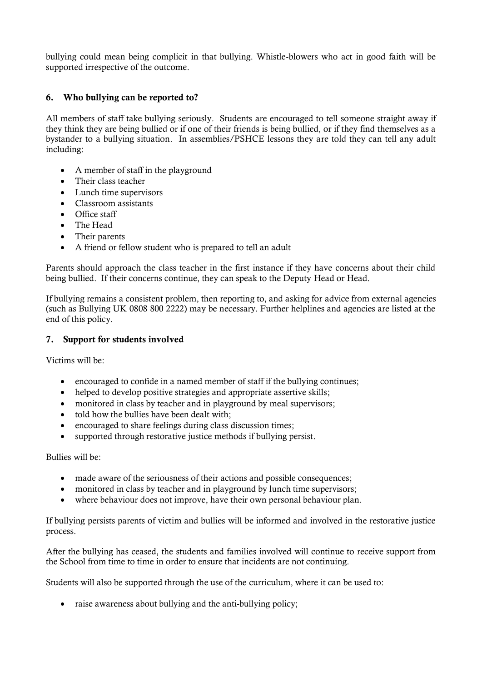bullying could mean being complicit in that bullying. Whistle-blowers who act in good faith will be supported irrespective of the outcome.

## 6. Who bullying can be reported to?

All members of staff take bullying seriously. Students are encouraged to tell someone straight away if they think they are being bullied or if one of their friends is being bullied, or if they find themselves as a bystander to a bullying situation. In assemblies/PSHCE lessons they are told they can tell any adult including:

- A member of staff in the playground
- Their class teacher
- Lunch time supervisors
- Classroom assistants
- Office staff
- The Head
- Their parents
- A friend or fellow student who is prepared to tell an adult

Parents should approach the class teacher in the first instance if they have concerns about their child being bullied. If their concerns continue, they can speak to the Deputy Head or Head.

If bullying remains a consistent problem, then reporting to, and asking for advice from external agencies (such as Bullying UK 0808 800 2222) may be necessary. Further helplines and agencies are listed at the end of this policy.

#### 7. Support for students involved

Victims will be:

- encouraged to confide in a named member of staff if the bullying continues;
- helped to develop positive strategies and appropriate assertive skills;
- monitored in class by teacher and in playground by meal supervisors;
- told how the bullies have been dealt with:
- encouraged to share feelings during class discussion times:
- supported through restorative justice methods if bullying persist.

Bullies will be:

- made aware of the seriousness of their actions and possible consequences;
- monitored in class by teacher and in playground by lunch time supervisors;
- where behaviour does not improve, have their own personal behaviour plan.

If bullying persists parents of victim and bullies will be informed and involved in the restorative justice process.

After the bullying has ceased, the students and families involved will continue to receive support from the School from time to time in order to ensure that incidents are not continuing.

Students will also be supported through the use of the curriculum, where it can be used to:

• raise awareness about bullying and the anti-bullying policy;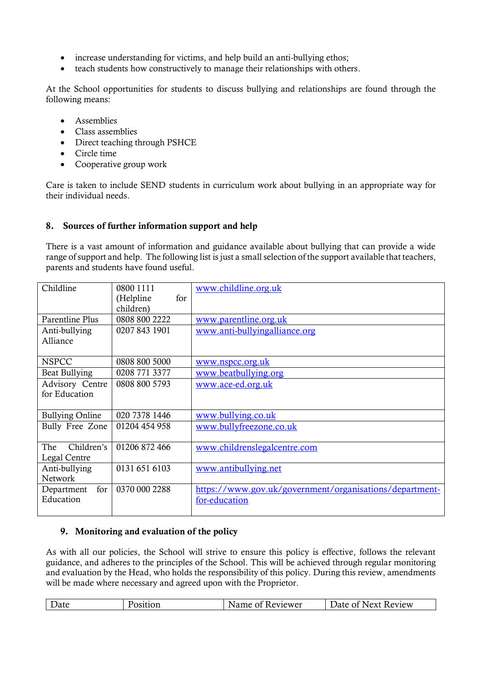- increase understanding for victims, and help build an anti-bullying ethos;
- teach students how constructively to manage their relationships with others.

At the School opportunities for students to discuss bullying and relationships are found through the following means:

- Assemblies
- Class assemblies
- Direct teaching through PSHCE
- Circle time
- Cooperative group work

Care is taken to include SEND students in curriculum work about bullying in an appropriate way for their individual needs.

## 8. Sources of further information support and help

There is a vast amount of information and guidance available about bullying that can provide a wide range of support and help. The following list is just a small selection of the support available that teachers, parents and students have found useful.

| Childline              | 0800 1111        | www.childline.org.uk                                    |
|------------------------|------------------|---------------------------------------------------------|
|                        | for<br>(Helpline |                                                         |
|                        | children)        |                                                         |
| Parentline Plus        | 0808 800 2222    | www.parentline.org.uk                                   |
| Anti-bullying          | 0207 843 1901    | www.anti-bullyingalliance.org                           |
| Alliance               |                  |                                                         |
|                        |                  |                                                         |
| <b>NSPCC</b>           | 0808 800 5000    | www.nspcc.org.uk                                        |
| Beat Bullying          | 0208 771 3377    | www.beatbullying.org                                    |
| Advisory Centre        | 0808 800 5793    | www.ace-ed.org.uk                                       |
| for Education          |                  |                                                         |
|                        |                  |                                                         |
| <b>Bullying Online</b> | 020 7378 1446    | www.bullying.co.uk                                      |
| Bully Free Zone        | 01204 454 958    | www.bullyfreezone.co.uk                                 |
|                        |                  |                                                         |
| Children's<br>The      | 01206 872 466    | www.childrenslegalcentre.com                            |
| Legal Centre           |                  |                                                         |
| Anti-bullying          | 0131 651 6103    | www.antibullying.net                                    |
| Network                |                  |                                                         |
| for<br>Department      | 0370 000 2288    | https://www.gov.uk/government/organisations/department- |
| Education              |                  | for-education                                           |
|                        |                  |                                                         |

# 9. Monitoring and evaluation of the policy

As with all our policies, the School will strive to ensure this policy is effective, follows the relevant guidance, and adheres to the principles of the School. This will be achieved through regular monitoring and evaluation by the Head, who holds the responsibility of this policy. During this review, amendments will be made where necessary and agreed upon with the Proprietor.